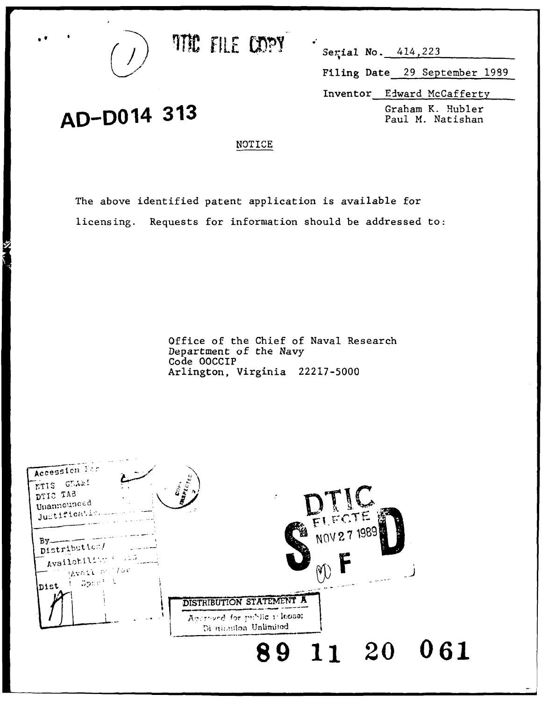

AD-D014 313

**THE FILE COPY**  $\frac{1}{\sqrt{3}}$   $\frac{1}{\sqrt{3}}$   $\frac{1}{\sqrt{3}}$ 

Filing Date 29 September 1989

Inventor Edward McCafferty

Graham K. Hubler

## **NOTICE**

The above identified patent application is available for licensing. Requests for information should be addressed to:

> Office of the Chief of Naval Research Department of the Navy Code OOCCIP Arlington, Virginia 22217-5000

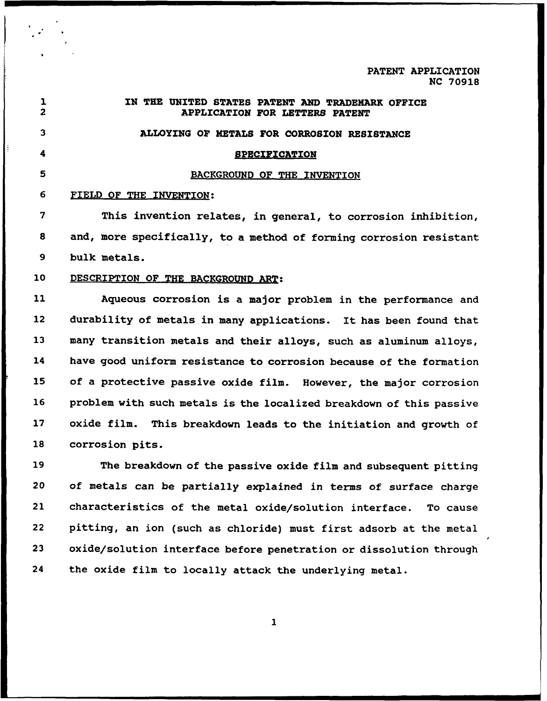**PATENT** APPLICATION **NC 70918**

| $\mathbf{1}$<br>$\overline{\mathbf{2}}$ | IN THE UNITED STATES PATENT AND TRADEMARK OFFICE<br><b>APPLICATION FOR LETTERS PATENT</b> |
|-----------------------------------------|-------------------------------------------------------------------------------------------|
| $\mathbf{3}$                            | ALLOYING OF METALS FOR CORROSION RESISTANCE                                               |
| 4                                       | <b><i>BPECIFICATION</i></b>                                                               |
| 5                                       | BACKGROUND OF THE INVENTION                                                               |
| 6                                       | FIELD OF THE INVENTION:                                                                   |
| 7                                       | This invention relates, in general, to corrosion inhibition,                              |
| 8                                       | and, more specifically, to a method of forming corrosion resistant                        |
| 9                                       | bulk metals.                                                                              |
| 10                                      | DESCRIPTION OF THE BACKGROUND ART:                                                        |
| 11                                      | Aqueous corrosion is a major problem in the performance and                               |
| 12                                      | durability of metals in many applications. It has been found that                         |
| 13                                      | many transition metals and their alloys, such as aluminum alloys,                         |
| 14                                      | have good uniform resistance to corrosion because of the formation                        |
| 15                                      | of a protective passive oxide film. However, the major corrosion                          |
| 16                                      | problem with such metals is the localized breakdown of this passive                       |
| 17                                      | oxide film. This breakdown leads to the initiation and growth of                          |
| 18                                      | corrosion pits.                                                                           |
| 19                                      | The breakdown of the passive oxide film and subsequent pitting                            |
| 20                                      | of metals can be partially explained in terms of surface charge                           |
| 21                                      | characteristics of the metal oxide/solution interface. To cause                           |
| 22                                      | pitting, an ion (such as chloride) must first adsorb at the metal                         |
| 23                                      | oxide/solution interface before penetration or dissolution through                        |

24 the oxide film to locally attack the underlying metal.

**I**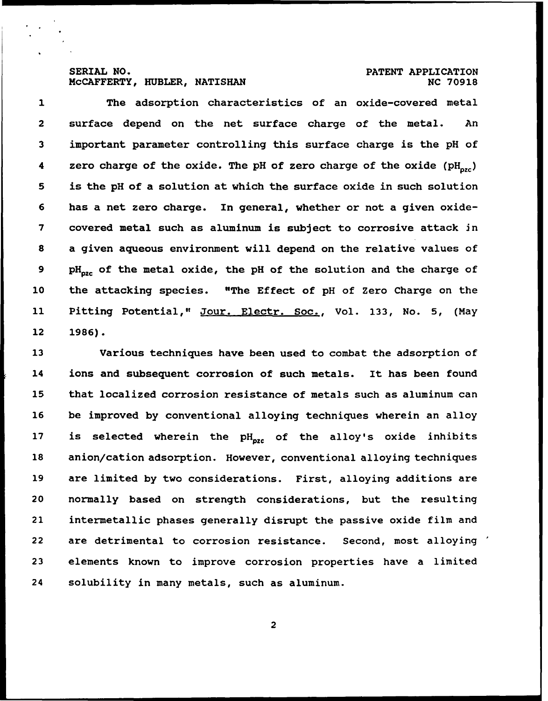## **MCCAFFERTY, HUBLER, NATISHAN <b>NC 70918** NC 70918

# SERIAL **NO. PATENT** APPLICATION

1 The adsorption characteristics **of** an oxide-covered metal 2 surface depend on the net surface charge of the metal. An **3** important parameter controlling this surface charge is the **pH** of 4 zero charge of the oxide. The pH of zero charge of the oxide (pH<sub>oxc</sub>) **5** is the **pH** of a solution at which the surface oxide in such solution **6** has a net zero charge. In general, whether or not a given oxide-**7** covered metal such as aluminum is subject to corrosive attack in **8** a given aqueous environment will depend on the relative values of 9 pH<sub>ozc</sub> of the metal oxide, the pH of the solution and the charge of 10 the attacking species. "The Effect of **pH** of Zero Charge on the 11 Pitting Potential," Jour. Electr. Soc., Vol. **133,** No. **5,** (May 12 **1986).**

**13** Various techniques have been used to combat the adsorption of 14 ions and subsequent corrosion of such metals. It has been found 15 that localized corrosion resistance of metals such as aluminum can **16** be improved by conventional alloying techniques wherein an alloy 17 is selected wherein the pH<sub>ozc</sub> of the alloy's oxide inhibits **18** anion/cation adsorption. However, conventional alloying techniques 19 are limited by two considerations. First, alloying additions are 20 normally based on strength considerations, but the resulting 21 intermetallic phases generally disrupt the passive oxide film and 22 are detrimental to corrosion resistance. Second, most alloying **23** elements known to improve corrosion properties have a limited 24 solubility in many metals, such as aluminum.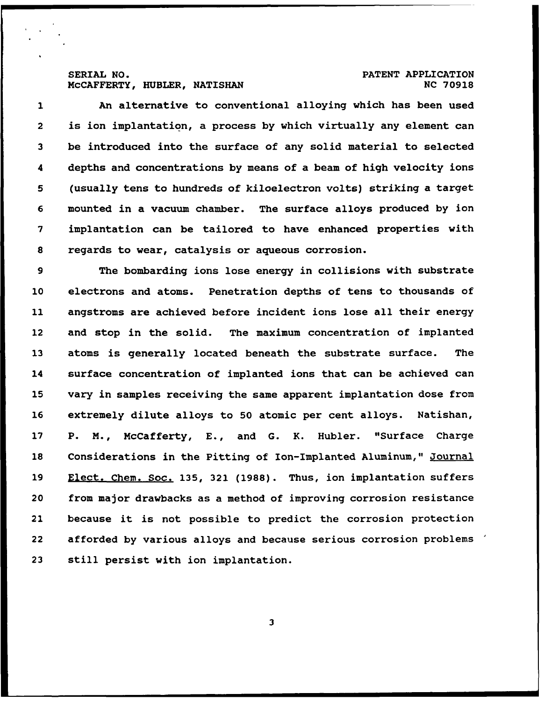# SERIAL **NO. PATENT** APPLICATION

1 An alternative to conventional alloying which has been used 2 is ion implantation, a process **by** which virtually any element can be introduced into the surface of any solid material to selected 4 depths and concentrations **by** means of a beam of high velocity ions (usually tens to hundreds of kiloelectron volts) striking a target mounted in a vacuum chamber. The surface alloys produced **by** ion implantation can be tailored to have enhanced properties with regards to wear, catalysis or aqueous corrosion.

**9** The bombarding ions lose energy in collisions with substrate 10 electrons and atoms. Penetration depths of tens to thousands of 11 angstroms are achieved before incident ions lose all their energy 12 and stop in the solid. The maximum concentration of implanted **13** atoms is generally located beneath the substrate surface. The 14 surface concentration of implanted ions that can be achieved can **15** vary in samples receiving the same apparent implantation dose from **16** extremely dilute alloys to **50** atomic per cent alloys. Natishan, 17 P. M., McCafferty, **E.,** and **G.** K. Hubler. "Surface Charge **18** Considerations in the Pitting of Ion-Implanted Aluminum," Journal **19** Elect. Chem. Soc. **135, 321 (1988).** Thus, ion implantation suffers 20 from major drawbacks as a method of improving corrosion resistance 21 because it is not possible to predict the corrosion protection 22 afforded **by** various alloys and because serious corrosion problems **23** still persist with ion implantation.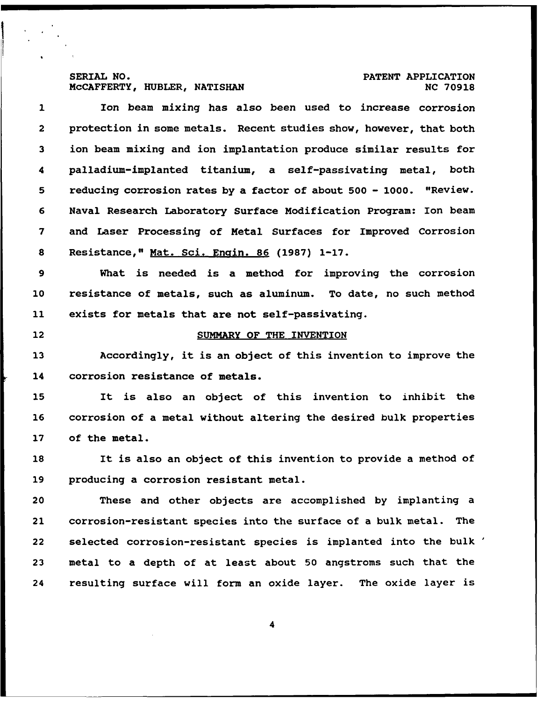## SERIAL NO.<br>McCAFFERTY, HUBLER, NATISHAN **PATENT APPLICATION MCCAFFERTY, HUBLER, NATISHAN**

I i

1 Ion beam mixing has also been used to increase corrosion 2 protection in some metals. Recent studies show, however, that both **3** ion beam mixing and ion implantation produce similar results for 4 palladium-implanted titanium, a self-passivating metal, both 5 reducing corrosion rates by a factor of about 500 - 1000. "Review. **6** Naval Research Laboratory Surface Modification Program: Ion beam 7 and Laser Processing of Metal Surfaces for Improved Corrosion **8** Resistance," Mat. Sci. Engin. **86 (1987) 1-17.** 9 What is needed is a method for improving the corrosion **10** resistance of metals, such as aluminum. To date, no such method **11** exists for metals that are not self-passivating. 12 SUMMARY OF THE **INVENTION 13** Accordingly, it is an object of this invention to improve the 14 corrosion resistance of metals. **15** It is also an object of this invention to inhibit the **16** corrosion of a metal without altering the desired bulk properties **17** of the metal. **18** It is also an object of this invention to provide a method of **19** producing a corrosion resistant metal. 20 These and other objects are accomplished **by** implanting a 21 corrosion-resistant species into the surface of a bulk metal. The 22 selected corrosion-resistant species is implanted into the bulk **23** metal to a depth of at least about **50** angstroms such that the

**4**

24 resulting surface will form an oxide layer. The oxide layer is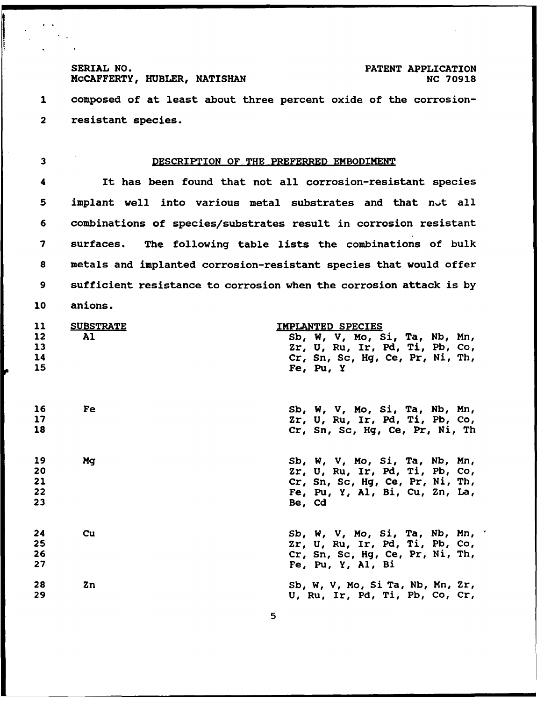SERIAL NO.<br> **MCCAFFERTY, HUBLER, NATISHAN** PATENT APPLICATION<br>
NC 70918 **MCCAFFERTY, HUBLER, NATISHAN** 

1 composed of at least about three percent oxide of the corrosion-2 resistant species.

#### **3** DESCRIPTION OF THE PREFERRED **EMBODIMENT**

4 It has been found that not all corrosion-resistant species 5 implant well into various metal substrates and that not all **6** combinations of species/substrates result in corrosion resistant **7** surfaces. The following table lists the combinations of bulk **8** metals and implanted corrosion-resistant species that would offer **9** sufficient resistance to corrosion when the corrosion attack is **by** 10 anions.

| 11            | <b>SUBSTRATE</b> | <u>IMPLANTED SPECIES</u>            |  |  |
|---------------|------------------|-------------------------------------|--|--|
| $\mathbf{12}$ | Al               | Sb, W, V, Mo, Si, Ta, Nb, Mn,       |  |  |
| 13            |                  | Zr, U, Ru, Ir, Pd, Ti, Pb, Co,      |  |  |
| 14            |                  | $Cr$ , Sn, Sc, Hg, Ce, Pr, Ni, Th,  |  |  |
| 15            |                  | $Fe$ , $Pu$ , $Y$                   |  |  |
| 16            | Fe               | Sb, W, V, Mo, Si, Ta, Nb, Mn,       |  |  |
| 17            |                  | $2r$ , U, Ru, Ir, Pd, Ti, Pb, Co,   |  |  |
| 18            |                  | Cr, Sn, Sc, Hg, Ce, Pr, Ni, Th      |  |  |
| 19            | Mq               | Sb, W, V, Mo, Si, Ta, Nb, Mn,       |  |  |
| 20            |                  | $2r$ , U, Ru, Ir, Pd, Ti, Pb, Co,   |  |  |
| 21            |                  | Cr, Sn, Sc, Hg, Ce, Pr, Ni, Th,     |  |  |
| 22            |                  | Fe, Pu, Y, Al, Bi, Cu, Zn, La,      |  |  |
| 23            |                  | Be, Cd                              |  |  |
| 24            | cu               | Sb, W, V, Mo, Si, Ta, Nb, Mn,       |  |  |
| 25            |                  | Zr, U, Ru, Ir, Pd, Ti, Pb, Co,      |  |  |
| 26            |                  | Cr, Sn, Sc, Hg, Ce, Pr, Ni, Th,     |  |  |
| 27            |                  | Fe, Pu, Y, Al, Bi                   |  |  |
| 28            | Zn               | Sb, W, V, Mo, Si Ta, Nb, Mn, $2r$ , |  |  |
| 29            |                  | U, Ru, Ir, Pd, Ti, Pb, Co, Cr,      |  |  |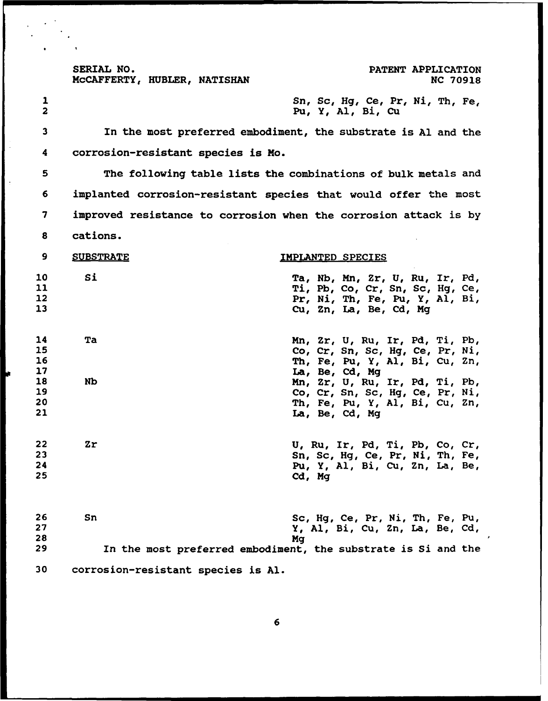SERIAL NO. **PATENT APPLICATION MCCAFFERTY, HUBLER, NATISHAN <b>NC 70918** NC 70918 **1** Sn, Sc, **Hg,** Ce, Pr, Ni, Th, Fe, 2 Pu, Y, **Al,** Bi, Cu **3** In the most preferred embodiment, the substrate is **Al** and the 4 corrosion-resistant species is Mo. **5** The following table lists the combinations of bulk metals and **6** implanted corrosion-resistant species that would offer the most **7** improved resistance to corrosion when the corrosion attack is **by 8** cations. **9 SUBSTRATE 10 IMPLANTED SPECIES 10** Si Ta, **Nb,** Mn, Zr, **U,** Ru, Ir, **Pd, 11** Ti, **Pb,** Co, Cr, Sn, Sc, **Hg,** Ce, 12 Pr, Ni, Th, Fe, Pu, **Y, Al,** Bi, **13** Cu, Zn, La, Be, **Cd, Mg** 14 Ta Mn, Zr, **U,** Ru, Ir, **Pd,** Ti, **Pb, 15** Co, Cr, Sn, Sc, **Hg,** Ce, Pr, Ni, **16** Th, Fe, Pu, Y, **Al,** Bi, Cu, Zn, **17** La, Be, **Cd, Mg 18 Nb** Mn, Zr, **U,** Ru, Ir, **Pd,** Ti, **Pb, 19** Co, Cr, Sn, Sc, **Hg,** Ce, Pr, Ni, 20 Th, Fe, Pu, Y, **Al,** Bi, Cu, Zn, 21 La, Be, **Cd, Mg** 22 Zr **U,** Ru, Ir, **Pd,** Ti, **Pb,** Co, Cr, **23** Sn, Sc, **Hg,** Ce, Pr, Ni, Th, Fe, 24 Pu, Y, **Al,** Bi, Cu, Zn, La, Be, **25 Cd, Mg 26** Sn Sc, **Hg,** Ce, Pr, Ni, Th, Fe, Pu, **27** Y, **Al,** Bi, Cu, Zn, La, Be, **Cd, 28 Mg**

**29** In the most preferred embodiment, the substrate is Si and the

**30** corrosion-resistant species is **Al.**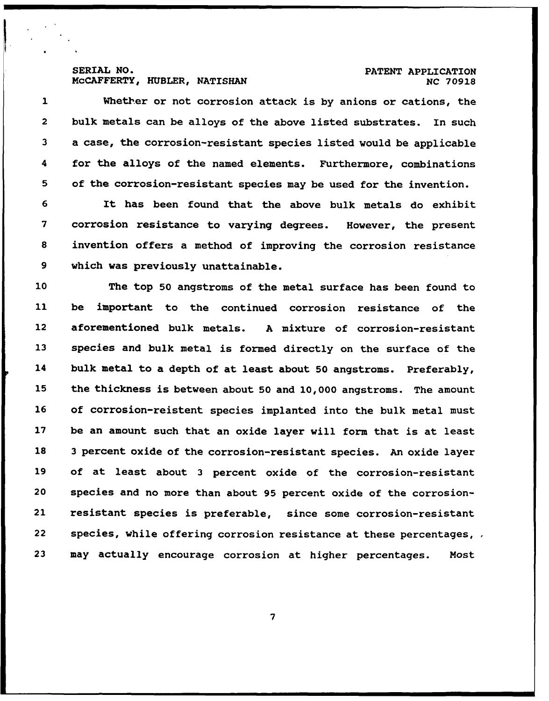### SERIAL NO. **PATENT APPLICATION MCCAFFERTY, HUBLER, NATISHAN 1999 18 NC 70918**

I

1 Whether or not corrosion attack is **by** anions or cations, the 2 bulk metals can be alloys of the above listed substrates. In such **3** a case, the corrosion-resistant species listed would be applicable 4 for the alloys of the named elements. Furthermore, combinations **5** of the corrosion-resistant species may be used for the invention.

It has been found that the above bulk metals do exhibit corrosion resistance to varying degrees. However, the present invention offers a method of improving the corrosion resistance which was previously unattainable.

10 The top **50** angstroms of the metal surface has been found to 11 be important to the continued corrosion resistance of the 12 aforementioned bulk metals. **A** mixture of corrosion-resistant **13** species and bulk metal is formed directly on the surface of the 14 bulk metal to a depth of at least about **50** angstroms. Preferably, **15** the thickness is between about **50** and 10,000 angstroms. The amount **16** of corrosion-reistent species implanted into the bulk metal must **17** be an amount such that an oxide layer will form that is at least **18 3** percent oxide of the corrosion-resistant species. An oxide layer 19 of at least about **3** percent oxide of the corrosion-resistant 20 species and no more than about 95 percent oxide of the corrosion-21 resistant species is preferable, since some corrosion-resistant 22 species, while offering corrosion resistance at these percentages,  $\overline{a}$ **23** may actually encourage corrosion at higher percentages. Most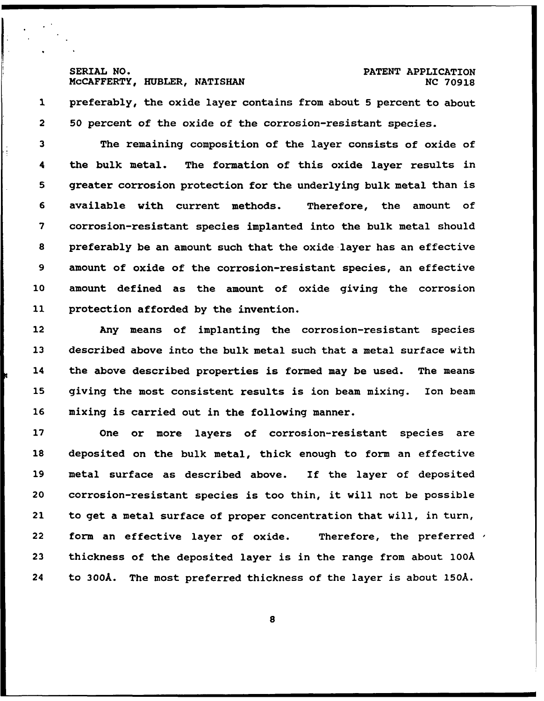# SERIAL **NO. PATENT** APPLICATION

1 preferably, the oxide layer contains from about 5 percent to about 2 50 percent of the oxide of the corrosion-resistant species.

**3** The remaining composition of the layer consists of oxide of 4 the bulk metal. The formation of this oxide layer results in 5 greater corrosion protection for the underlying bulk metal than is 6 available with current methods. Therefore, the amount of 7 corrosion-resistant species implanted into the bulk metal should 8 preferably be an amount such that the oxide layer has an effective 9 amount of oxide of the corrosion-resistant species, an effective **10** amount defined as the amount of oxide giving the corrosion **11** protection afforded by the invention.

12 Any means of implanting the corrosion-resistant species 13 described above into the bulk metal such that a metal surface with 14 the above described properties is formed may be used. The means 15 giving the most consistent results is ion beam mixing. Ion beam 16 mixing is carried out in the following manner.

17 One or more layers of corrosion-resistant species are 18 deposited on the bulk metal, thick enough to form an effective 19 metal surface as described above. If the layer of deposited 20 corrosion-resistant species is too thin, it will not be possible 21 to get a metal surface of proper concentration that will, in turn, 22 form an effective layer of oxide. Therefore, the preferred  $\prime$ **23** thickness of the deposited layer is in the range from about 100A 24 to **300A.** The most preferred thickness of the layer is about **150A.**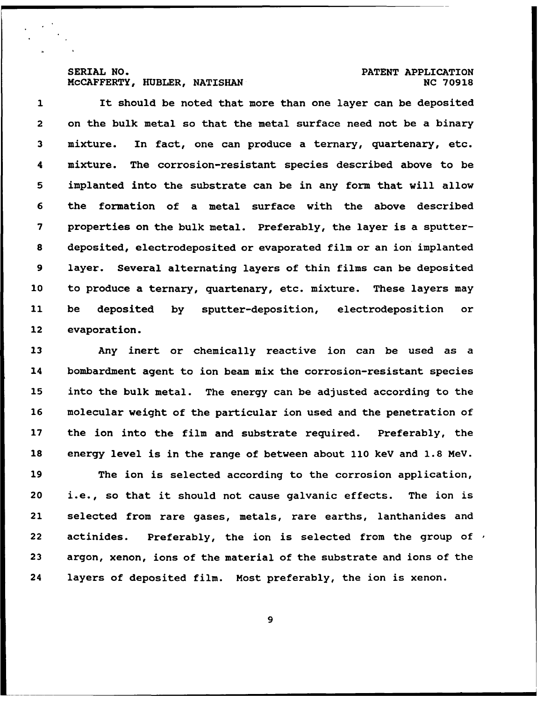# SERIAL **NO. PATENT** APPLICATION

1 It should be noted that more than one layer can be deposited 2 on the bulk metal so that the metal surface need not be a binary **3** mixture. In fact, one can produce a ternary, quartenary, etc. 4 mixture. The corrosion-resistant species described above to be **5** implanted into the substrate can be in any form that will allow **6** the formation of a metal surface with the above described **7** properties on the bulk metal. Preferably, the layer is a sputter-**8** deposited, electrodeposited or evaporated film or an ion implanted **9** layer. Several alternating layers of thin films can be deposited 10 to produce a ternary, quartenary, etc. mixture. These layers may 11 be deposited **by** sputter-deposition, electrodeposition or 12 evaporation.

Any inert or chemically reactive ion can be used as a 14 bombardment agent to ion beam mix the corrosion-resistant species into the bulk metal. The energy can be adjusted according to the molecular weight of the particular ion used and the penetration of 17 the ion into the film and substrate required. Preferably, the energy level is in the range of between about 110 **keV** and **1.8 MeV.**

**19** The ion is selected according to the corrosion application, 20 i.e., so that it should not cause galvanic effects. The ion is 21 selected from rare gases, metals, rare earths, lanthanides and 22 actinides. Preferably, the ion is selected from the group of  $\prime$ **23** argon, xenon, ions of the material of the substrate and ions of the 24 layers of deposited film. Most preferably, the ion is xenon.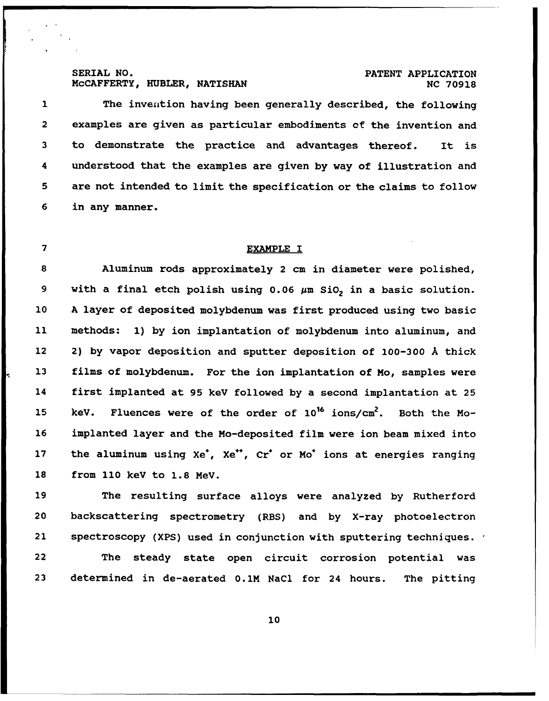# SERIAL NO.<br>McCAFFERTY, HUBLER, NATISHAN **PATENT APPLICATION**

# SERIAL **NO. PATENT** APPLICATION

1 The invention having been generally described, the following 2 examples are given as particular embodiments **of** the invention and **3** to demonstrate the practice and advantages thereof. It is 4 understood that the examples are given **by** way of illustration and **5** are not intended to limit the specification or the claims to follow **6** in any manner.

## 7 EXAMPLE **I**

**8** Aluminum rods approximately 2 cm in diameter were polished, 9 with a final etch polish using 0.06 μm SiO<sub>2</sub> in a basic solution. 10 **A** layer of deposited molybdenum was first produced using two basic 11 methods: **1) by** ion implantation of molybdenum into aluminum, and 12 2) **by** vapor deposition and sputter deposition of **100-300** A thick **13** films of molybdenum. For the ion implantation of Mo, samples were 14 first implanted at **95 keV** followed **by** a second implantation at **25 15** keV. Fluences were of the order of **1016** ions/cm2. Both the Mo-**16** implanted layer and the Mo-deposited film were ion beam mixed into 17 the aluminum using Xe<sup>+</sup>, Xe<sup>++</sup>, Cr<sup>+</sup> or Mo<sup>+</sup> ions at energies ranging **18** from **110 keV** to **1.8 MeV.**

**19** The resulting surface alloys were analyzed **by** Rutherford 20 backscattering spectrometry (RBS) and **by** X-ray photoelectron 21 spectroscopy (XPS) used in conjunction with sputtering techniques. 22 The steady state open circuit corrosion potential was **23** determined in de-aerated 0.1M NaCl for 24 hours. The pitting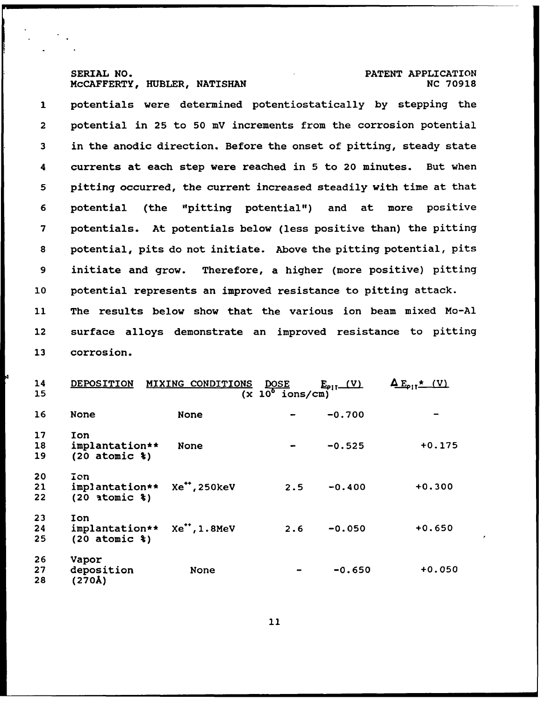# SERIAL **NO.** PATENT APPLICATION

potentials were determined potentiostatically **by** stepping the 2 potential in **25** to **50 mV** increments from the corrosion potential in the anodic direction. Before the onset of pitting, steady state 4 currents at each step were reached in **5** to 20 minutes. But when pitting occurred, the current increased steadily with time at that potential (the "pitting potential") and at more positive potentials. At potentials below (less positive than) the pitting potential, pits do not initiate. Above the pitting potential, pits initiate and grow. Therefore, a higher (more positive) pitting potential represents an improved resistance to pitting attack. 11 The results below show that the various ion beam mixed Mo-Al 12 surface alloys demonstrate an improved resistance to pitting

corrosion.

| 14<br>15       | DEPOSITION                                           | MIXING CONDITIONS | <b>DOSE</b><br>$(x 10^{\circ} \text{ ions/cm})$ | $E_{\text{PI}}(V)$ | $\Delta E_{\text{off}} \star$ (V) |
|----------------|------------------------------------------------------|-------------------|-------------------------------------------------|--------------------|-----------------------------------|
| 16             | <b>None</b>                                          | None              |                                                 | $-0.700$           |                                   |
| 17<br>18<br>19 | Ion<br>implantation**<br>$(20$ atomic $})$           | None              |                                                 | $-0.525$           | $+0.175$                          |
| 20<br>21<br>22 | Ion<br>implantation**<br>$(20$ atomic $})$           | Xe**, 250keV      | 2.5                                             | $-0.400$           | $+0.300$                          |
| 23<br>24<br>25 | Ion<br>implantation**<br>$(20$ atomic $\texttt{\$})$ | Xe**, 1.8MeV      | 2.6                                             | $-0.050$           | $+0.650$                          |
| 26<br>27<br>28 | Vapor<br>deposition<br>(270Å)                        | None              |                                                 | $-0.650$           | $+0.050$                          |

14 DEPOSITION MIXING CONDITIONS **DOSE** IT **M--EIT\*--M**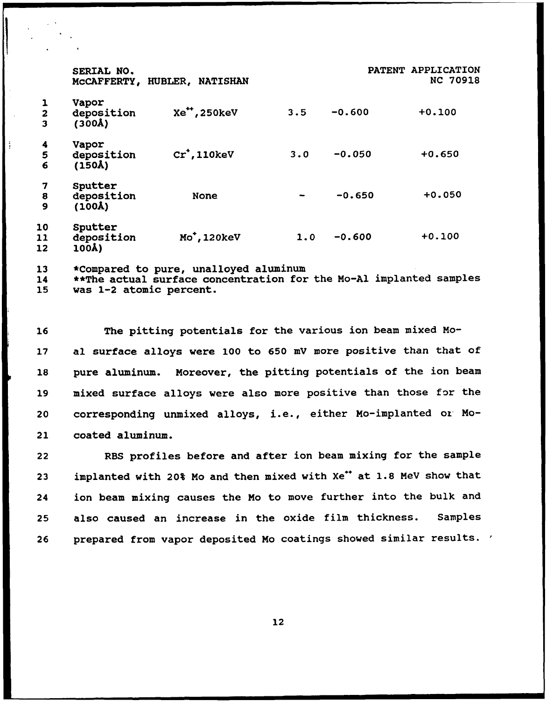|                              | SERIAL NO.<br>MCCAFFERTY,                    | HUBLER, NATISHAN |     |          | PATENT APPLICATION<br><b>NC 70918</b> |
|------------------------------|----------------------------------------------|------------------|-----|----------|---------------------------------------|
| $\overline{\mathbf{2}}$<br>3 | Vapor<br>deposition<br>(300 <sub>A</sub> )   | Xe*, 250keV      | 3.5 | $-0.600$ | $+0.100$                              |
| 4<br>5<br>6                  | Vapor<br>deposition<br>(150 <sub>A</sub> )   | $Cr$ , 110 $keV$ | 3.0 | $-0.050$ | $+0.650$                              |
| 7<br>8<br>9                  | Sputter<br>deposition<br>(100 <sub>A</sub> ) | <b>None</b>      |     | $-0.650$ | $+0.050$                              |
| 10<br>11<br>12               | Sputter<br>deposition<br>100Å)               | Mo, 120keV       | 1.0 | $-0.600$ | $+0.100$                              |

**13** \*Compared to pure, unalloyed aluminum

14 \*\*The actual surface concentration for the Mo-Al implanted samples

**15** was 1-2 atomic percent.

**16** The pitting potentials for the various ion beam mixed Mo-17 al surface alloys were **100** to **650 mV** more positive than that of **18** pure aluminum. Moreover, the pitting potentials of the ion beam **19** mixed surface alloys were also more positive than those for the 20 corresponding unmixed alloys, i.e., either Mo-implanted or Mo-21 coated aluminum.

22 RBS profiles before and after ion beam mixing for the sample 23 **implanted with 20% Mo and then mixed with Xe<sup>\*\*</sup> at 1.8 MeV show that** 24 ion beam mixing causes the Mo to move further into the bulk and **25** also caused an increase in the oxide film thickness. Samples **26** prepared from vapor deposited Mo coatings showed similar results.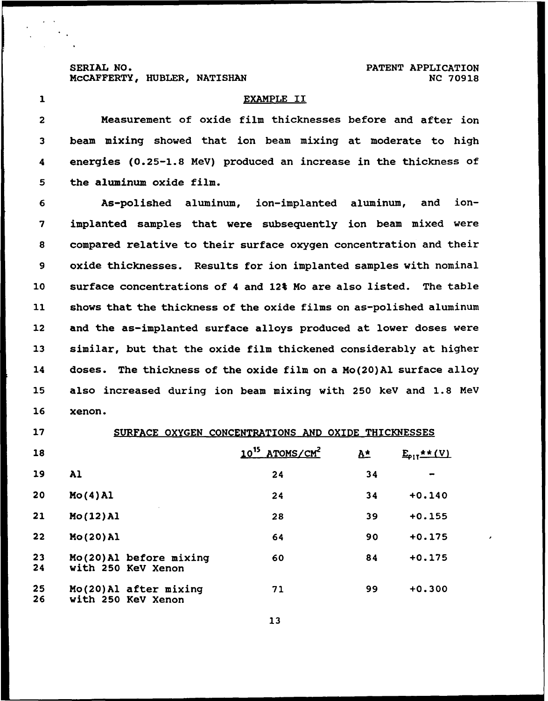SERIAL **NO.** PATENT APPLICATION

#### **1** EXAMPLE II

2 Measurement of oxide film thicknesses before and after ion **3** beam mixing showed that ion beam mixing at moderate to high 4 energies **(0.25-1.8** MeV) produced an increase in the thickness of **5** the aluminum oxide film.

**6** As-polished aluminum, ion-implanted aluminum, and ion-**7** implanted samples that were subsequently ion beam mixed were **8** compared relative to their surface oxygen concentration and their **9** oxide thicknesses. Results for ion implanted samples with nominal 10 surface concentrations of 4 and 12% Mo are also listed. The table 11 shows that the thickness of the oxide films on as-polished aluminum 12 and the as-implanted surface alloys produced at lower doses were **13** similar, but that the oxide film thickened considerably at higher 14 doses. The thickness of the oxide film on a Mo(20)Al surface alloy **15** also increased during ion beam mixing with **250 keV** and **1.8** MeV **16** xenon.

| 17       | SURFACE OXYGEN CONCENTRATIONS AND OXIDE THICKNESSES |                                        |             |                         |
|----------|-----------------------------------------------------|----------------------------------------|-------------|-------------------------|
| 18       |                                                     | 10 <sup>15</sup> ATOMS/CM <sup>2</sup> | $A^{\star}$ | $E_{\text{PI}}$ * * (V) |
| 19       | A1                                                  | 24                                     | 34          |                         |
| 20       | $Mo(4)$ Al                                          | 24                                     | 34          | $+0.140$                |
| 21       | Mo(12)Al                                            | 28                                     | 39          | $+0.155$                |
| 22       | Mo(20)Al                                            | 64                                     | 90          | $+0.175$                |
| 23<br>24 | Mo(20)Al before mixing<br>with 250 KeV Xenon        | 60                                     | 84          | $+0.175$                |
| 25<br>26 | Mo(20) Al after mixing<br>with 250 KeV Xenon        | 71                                     | 99          | $+0.300$                |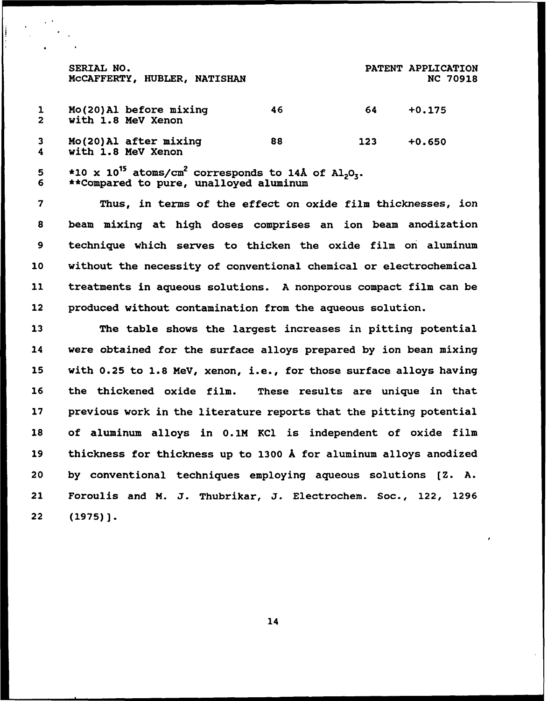|   | SERIAL NO.<br>MCCAFFERTY, HUBLER, NATISHAN                                                          |    |     | PATENT APPLICATION<br><b>NC 70918</b> |
|---|-----------------------------------------------------------------------------------------------------|----|-----|---------------------------------------|
|   | Mo(20) Al before mixing<br>with 1.8 MeV Xenon                                                       | 46 | 64  | $+0.175$                              |
| 4 | Mo(20) Al after mixing<br>with 1.8 MeV Xenon                                                        | 88 | 123 | $+0.650$                              |
|   | *10 x 10 <sup>15</sup> atoms/cm <sup>2</sup> corresponds to 14Å of Al <sub>2</sub> O <sub>3</sub> . |    |     |                                       |

**6** \*\*Compared to pure, unalloyed aluminum

7 Thus, in terms of the effect on oxide film thicknesses, ion **8** beam mixing at high doses comprises an ion beam anodization **9** technique which serves to thicken the oxide film on aluminum 10 without the necessity of conventional chemical or electrochemical 11 treatments in aqueous solutions. **A** nonporous compact film can be 12 produced without contamination from the aqueous solution.

The table shows the largest increases in pitting potential 14 were obtained for the surface alloys prepared **by** ion bean mixing with **0.25** to **1.8** MeV, xenon, i.e., for those surface alloys having the thickened oxide film. These results are unique in that previous work in the literature reports that the pitting potential of aluminum alloys in 0.1M KCl is independent of oxide film thickness for thickness up to 1300 **A** for aluminum alloys anodized **by** conventional techniques employing aqueous solutions **[Z. A.** 21 Foroulis and **M. J.** Thubrikar, **J.** Electrochem. Soc., 122, **1296** 22 **(1975)].**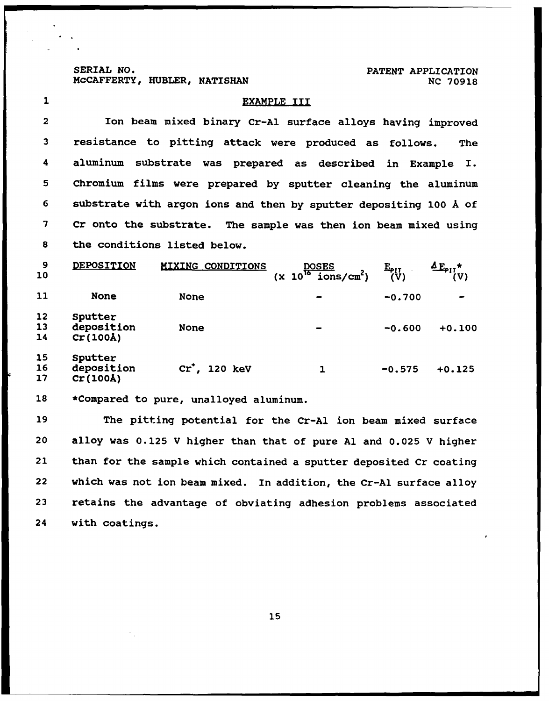SERIAL NO.<br>McCAFFERTY, HUBLER, NATISHAN **PATENT APPLICATION** 

 $\ddot{\phantom{a}}$ 

SERIAL **NO. PATENT** APPLICATION

| $\mathbf{1}$            | EXAMPLE III                                                        |                                                        |                                                              |                                                                    |
|-------------------------|--------------------------------------------------------------------|--------------------------------------------------------|--------------------------------------------------------------|--------------------------------------------------------------------|
| $\overline{\mathbf{2}}$ |                                                                    |                                                        |                                                              | Ion beam mixed binary Cr-Al surface alloys having improved         |
| 3                       |                                                                    | resistance to pitting attack were produced as follows. |                                                              | The                                                                |
| 4                       |                                                                    | aluminum substrate was prepared as described           |                                                              | in Example<br>I.                                                   |
| 5                       |                                                                    |                                                        |                                                              | Chromium films were prepared by sputter cleaning the aluminum      |
| 6                       |                                                                    |                                                        |                                                              | substrate with argon ions and then by sputter depositing 100 Å of  |
| 7                       |                                                                    |                                                        |                                                              | Cr onto the substrate. The sample was then ion beam mixed using    |
| 8                       |                                                                    | the conditions listed below.                           |                                                              |                                                                    |
| 9<br>10                 | DEPOSITION                                                         | <b>MIXING CONDITIONS</b>                               | $\frac{\text{DOSES}}{(\text{x } 10^{16} \text{ ions/cm}^2)}$ | $4E_{\text{p1}}$ *<br>$E_{\text{p}11}$<br>(V)<br>(V)               |
| 11                      | <b>None</b>                                                        | <b>None</b>                                            |                                                              | $-0.700$                                                           |
| 12<br>13<br>14          | Sputter<br>deposition<br>Cr(100Å)                                  | <b>None</b>                                            |                                                              | -0.600<br>$+0.100$                                                 |
| 15<br>16<br>17          | Sputter<br>deposition<br>$Cr(100\text{\AA})$                       | $cr'$ , 120 keV                                        | $\mathbf{1}$                                                 | $+0.125$<br>$-0.575$                                               |
| 18                      |                                                                    | *Compared to pure, unalloyed aluminum.                 |                                                              |                                                                    |
| 19                      | The pitting potential for the Cr-Al ion beam mixed surface         |                                                        |                                                              |                                                                    |
| 20                      |                                                                    |                                                        |                                                              | alloy was 0.125 V higher than that of pure Al and 0.025 V higher   |
| 21                      |                                                                    |                                                        |                                                              | than for the sample which contained a sputter deposited Cr coating |
| 22                      | which was not ion beam mixed. In addition, the Cr-Al surface alloy |                                                        |                                                              |                                                                    |
| 23                      |                                                                    |                                                        |                                                              | retains the advantage of obviating adhesion problems associated    |
| 24                      | with coatings.                                                     |                                                        |                                                              |                                                                    |
|                         |                                                                    |                                                        |                                                              |                                                                    |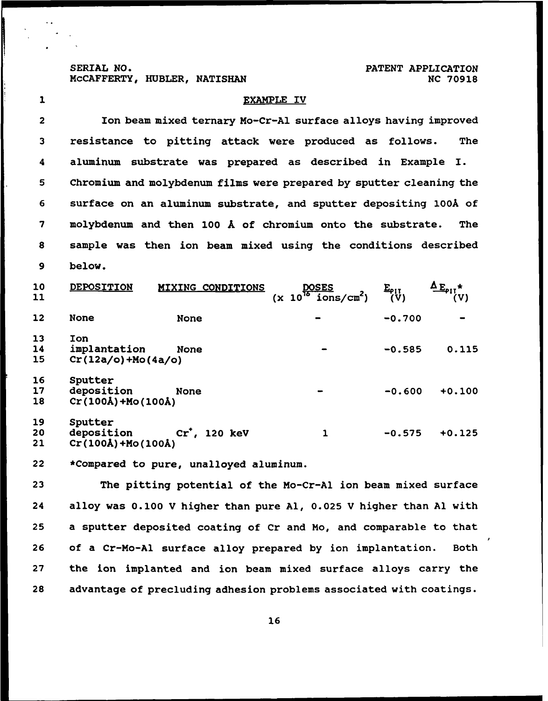SERIAL **NO.** PATENT APPLICATION

# 1 EXAMPLE IV 2 Ion beam mixed ternary Mo-Cr-Al surface alloys having improved **3** resistance to pitting attack were produced as follows. The 4 aluminum substrate was prepared as described in Example I. **5** Chromium and molybdenum films were prepared **by** sputter cleaning the **6** surface on an aluminum substrate, and sputter depositing **1OOA** of **7** molybdenum and then **100 A** of chromium onto the substrate. The **8** sample was then ion beam mixed using the conditions described **9** below. 10 DEPOSITION MIXING\_CONDITIONS DOSES  $E_{\rho\text{11}}$   $\Delta E_{\rho\text{11}}\star$   $(\text{x 10}^{10} \text{ ions/cm}^2)$   $(\text{V})$   $(\text{V})$ 12 None None **-0.700 - 13** Ion 14 implantation None **-0.585 0.115 15** Cr(12a/o)+Mo(4a/o) **16** Sputter **17** deposition None **-0.600 +0.100 18** Cr(lOOA)+Mo(lOOA) **19** Sputter 20 deposition Cr , 120 **keV** 1 **-0.575 +0.125**

21 Cr(lOOA)+Mo(100A)

22 \*Compared to pure, unalloyed aluminum.

The pitting potential of the Mo-Cr-Al ion beam mixed surface 24 alloy was 0.100 V higher than pure **Al, 0.025** V higher than **Al** with a sputter deposited coating of Cr and Mo, and comparable to that of a Cr-Mo-Al surface alloy prepared **by** ion implantation. Both the ion implanted and ion beam mixed surface alloys carry the advantage of precluding adhesion problems associated with coatings.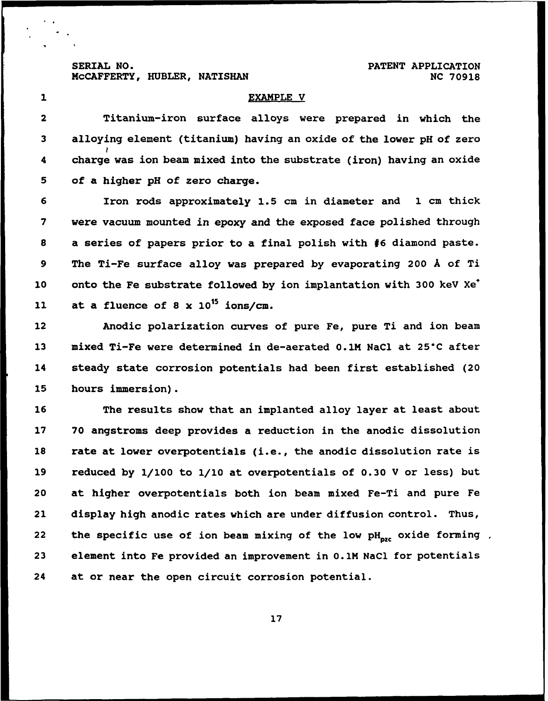**MCCAFFERTY, HUBLER, NATISHAN <b>NC 70918** NC 70918

SERIAL **NO. PATENT** APPLICATION

#### **1** EXAMPLE V

2 Titanium-iron surface alloys were prepared in which the **3** alloying element (titanium) having an oxide of the lower **pH** of zero 4 charge was ion beam mixed into the substrate (iron) having an oxide **5** of a higher **pH** of zero charge.

Iron rods approximately **1.5** cm in diameter and 1 cm thick were vacuum mounted in epoxy and the exposed face polished through a series of papers prior to a final polish with **#6** diamond paste. The Ti-Fe surface alloy was prepared **by** evaporating 200 A of Ti 10 onto the Fe substrate followed **by** ion implantation with **300 keY** Xe\* 11 at a fluence of **8** x 1015 ions/cm.

12 Anodic polarization curves of pure Fe, pure Ti and ion beam 13 **mixed Ti-Fe were determined in de-aerated 0.1M NaCl at 25°C after** 14 steady state corrosion potentials had been first established (20 **15** hours immersion).

**16** The results show that an implanted alloy layer at least about 17 **70** angstroms deep provides a reduction in the anodic dissolution **18** rate at lower overpotentials (i.e., the anodic dissolution rate is **19** reduced **by** 1/100 to 1/10 at overpotentials of **0.30** V or less) but 20 at higher overpotentials both ion beam mixed Fe-Ti and pure Fe 21 display high anodic rates which are under diffusion control. Thus, 22 the specific use of ion beam mixing of the low pH<sub>oze</sub> oxide forming, **<sup>23</sup>**element into Fe provided an improvement in 0.1M NaCl for potentials 24 at or near the open circuit corrosion potential.